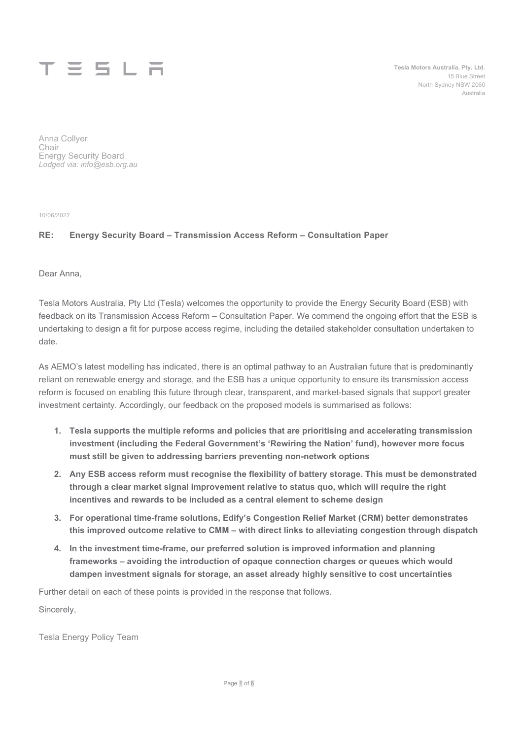

Tesla Motors Australia, Pty. Ltd. 15 Blue Street North Sydney NSW 2060 Australia

Anna Collyer Chair Energy Security Board Lodged via: info@esb.org.au

10/06/2022

### RE: Energy Security Board – Transmission Access Reform – Consultation Paper

Dear Anna,

Tesla Motors Australia, Pty Ltd (Tesla) welcomes the opportunity to provide the Energy Security Board (ESB) with feedback on its Transmission Access Reform – Consultation Paper. We commend the ongoing effort that the ESB is undertaking to design a fit for purpose access regime, including the detailed stakeholder consultation undertaken to date.

As AEMO's latest modelling has indicated, there is an optimal pathway to an Australian future that is predominantly reliant on renewable energy and storage, and the ESB has a unique opportunity to ensure its transmission access reform is focused on enabling this future through clear, transparent, and market-based signals that support greater investment certainty. Accordingly, our feedback on the proposed models is summarised as follows:

- 1. Tesla supports the multiple reforms and policies that are prioritising and accelerating transmission investment (including the Federal Government's 'Rewiring the Nation' fund), however more focus must still be given to addressing barriers preventing non-network options
- 2. Any ESB access reform must recognise the flexibility of battery storage. This must be demonstrated through a clear market signal improvement relative to status quo, which will require the right incentives and rewards to be included as a central element to scheme design
- 3. For operational time-frame solutions, Edify's Congestion Relief Market (CRM) better demonstrates this improved outcome relative to CMM – with direct links to alleviating congestion through dispatch
- 4. In the investment time-frame, our preferred solution is improved information and planning frameworks – avoiding the introduction of opaque connection charges or queues which would dampen investment signals for storage, an asset already highly sensitive to cost uncertainties

Further detail on each of these points is provided in the response that follows.

Sincerely,

Tesla Energy Policy Team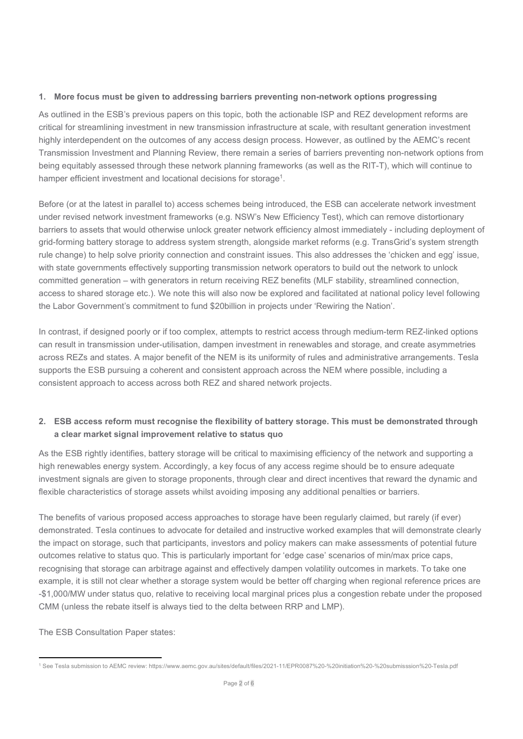### 1. More focus must be given to addressing barriers preventing non-network options progressing

As outlined in the ESB's previous papers on this topic, both the actionable ISP and REZ development reforms are critical for streamlining investment in new transmission infrastructure at scale, with resultant generation investment highly interdependent on the outcomes of any access design process. However, as outlined by the AEMC's recent Transmission Investment and Planning Review, there remain a series of barriers preventing non-network options from being equitably assessed through these network planning frameworks (as well as the RIT-T), which will continue to hamper efficient investment and locational decisions for storage<sup>1</sup>.

Before (or at the latest in parallel to) access schemes being introduced, the ESB can accelerate network investment under revised network investment frameworks (e.g. NSW's New Efficiency Test), which can remove distortionary barriers to assets that would otherwise unlock greater network efficiency almost immediately - including deployment of grid-forming battery storage to address system strength, alongside market reforms (e.g. TransGrid's system strength rule change) to help solve priority connection and constraint issues. This also addresses the 'chicken and egg' issue, with state governments effectively supporting transmission network operators to build out the network to unlock committed generation – with generators in return receiving REZ benefits (MLF stability, streamlined connection, access to shared storage etc.). We note this will also now be explored and facilitated at national policy level following the Labor Government's commitment to fund \$20billion in projects under 'Rewiring the Nation'.

In contrast, if designed poorly or if too complex, attempts to restrict access through medium-term REZ-linked options can result in transmission under-utilisation, dampen investment in renewables and storage, and create asymmetries across REZs and states. A major benefit of the NEM is its uniformity of rules and administrative arrangements. Tesla supports the ESB pursuing a coherent and consistent approach across the NEM where possible, including a consistent approach to access across both REZ and shared network projects.

# 2. ESB access reform must recognise the flexibility of battery storage. This must be demonstrated through a clear market signal improvement relative to status quo

As the ESB rightly identifies, battery storage will be critical to maximising efficiency of the network and supporting a high renewables energy system. Accordingly, a key focus of any access regime should be to ensure adequate investment signals are given to storage proponents, through clear and direct incentives that reward the dynamic and flexible characteristics of storage assets whilst avoiding imposing any additional penalties or barriers.

The benefits of various proposed access approaches to storage have been regularly claimed, but rarely (if ever) demonstrated. Tesla continues to advocate for detailed and instructive worked examples that will demonstrate clearly the impact on storage, such that participants, investors and policy makers can make assessments of potential future outcomes relative to status quo. This is particularly important for 'edge case' scenarios of min/max price caps, recognising that storage can arbitrage against and effectively dampen volatility outcomes in markets. To take one example, it is still not clear whether a storage system would be better off charging when regional reference prices are -\$1,000/MW under status quo, relative to receiving local marginal prices plus a congestion rebate under the proposed CMM (unless the rebate itself is always tied to the delta between RRP and LMP).

The ESB Consultation Paper states:

<sup>1</sup> See Tesla submission to AEMC review: https://www.aemc.gov.au/sites/default/files/2021-11/EPR0087%20-%20initiation%20-%20submisssion%20-Tesla.pdf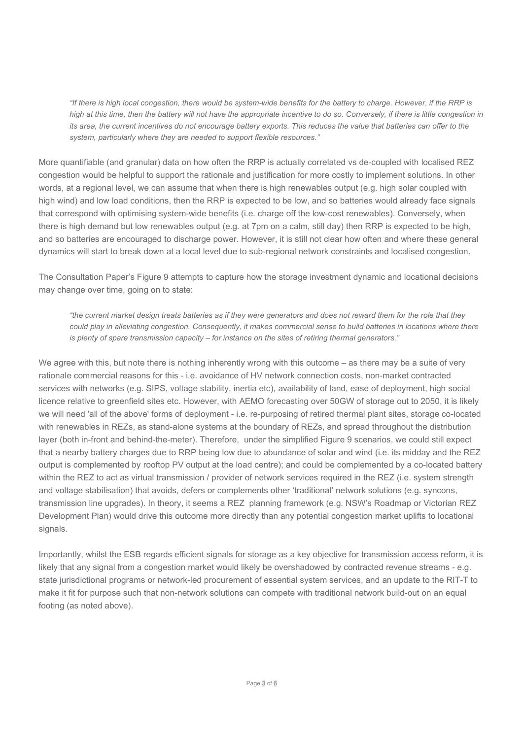"If there is high local congestion, there would be system-wide benefits for the battery to charge. However, if the RRP is high at this time, then the battery will not have the appropriate incentive to do so. Conversely, if there is little congestion in its area, the current incentives do not encourage battery exports. This reduces the value that batteries can offer to the system, particularly where they are needed to support flexible resources."

More quantifiable (and granular) data on how often the RRP is actually correlated vs de-coupled with localised REZ congestion would be helpful to support the rationale and justification for more costly to implement solutions. In other words, at a regional level, we can assume that when there is high renewables output (e.g. high solar coupled with high wind) and low load conditions, then the RRP is expected to be low, and so batteries would already face signals that correspond with optimising system-wide benefits (i.e. charge off the low-cost renewables). Conversely, when there is high demand but low renewables output (e.g. at 7pm on a calm, still day) then RRP is expected to be high, and so batteries are encouraged to discharge power. However, it is still not clear how often and where these general dynamics will start to break down at a local level due to sub-regional network constraints and localised congestion.

The Consultation Paper's Figure 9 attempts to capture how the storage investment dynamic and locational decisions may change over time, going on to state:

"the current market design treats batteries as if they were generators and does not reward them for the role that they could play in alleviating congestion. Consequently, it makes commercial sense to build batteries in locations where there is plenty of spare transmission capacity – for instance on the sites of retiring thermal generators."

We agree with this, but note there is nothing inherently wrong with this outcome – as there may be a suite of very rationale commercial reasons for this - i.e. avoidance of HV network connection costs, non-market contracted services with networks (e.g. SIPS, voltage stability, inertia etc), availability of land, ease of deployment, high social licence relative to greenfield sites etc. However, with AEMO forecasting over 50GW of storage out to 2050, it is likely we will need 'all of the above' forms of deployment - i.e. re-purposing of retired thermal plant sites, storage co-located with renewables in REZs, as stand-alone systems at the boundary of REZs, and spread throughout the distribution layer (both in-front and behind-the-meter). Therefore, under the simplified Figure 9 scenarios, we could still expect that a nearby battery charges due to RRP being low due to abundance of solar and wind (i.e. its midday and the REZ output is complemented by rooftop PV output at the load centre); and could be complemented by a co-located battery within the REZ to act as virtual transmission / provider of network services required in the REZ (i.e. system strength and voltage stabilisation) that avoids, defers or complements other 'traditional' network solutions (e.g. syncons, transmission line upgrades). In theory, it seems a REZ planning framework (e.g. NSW's Roadmap or Victorian REZ Development Plan) would drive this outcome more directly than any potential congestion market uplifts to locational signals.

Importantly, whilst the ESB regards efficient signals for storage as a key objective for transmission access reform, it is likely that any signal from a congestion market would likely be overshadowed by contracted revenue streams - e.g. state jurisdictional programs or network-led procurement of essential system services, and an update to the RIT-T to make it fit for purpose such that non-network solutions can compete with traditional network build-out on an equal footing (as noted above).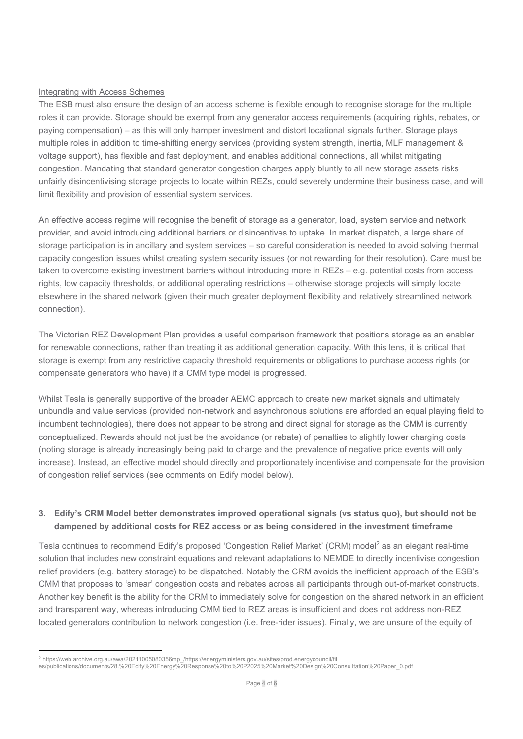#### Integrating with Access Schemes

The ESB must also ensure the design of an access scheme is flexible enough to recognise storage for the multiple roles it can provide. Storage should be exempt from any generator access requirements (acquiring rights, rebates, or paying compensation) – as this will only hamper investment and distort locational signals further. Storage plays multiple roles in addition to time-shifting energy services (providing system strength, inertia, MLF management & voltage support), has flexible and fast deployment, and enables additional connections, all whilst mitigating congestion. Mandating that standard generator congestion charges apply bluntly to all new storage assets risks unfairly disincentivising storage projects to locate within REZs, could severely undermine their business case, and will limit flexibility and provision of essential system services.

An effective access regime will recognise the benefit of storage as a generator, load, system service and network provider, and avoid introducing additional barriers or disincentives to uptake. In market dispatch, a large share of storage participation is in ancillary and system services – so careful consideration is needed to avoid solving thermal capacity congestion issues whilst creating system security issues (or not rewarding for their resolution). Care must be taken to overcome existing investment barriers without introducing more in REZs – e.g. potential costs from access rights, low capacity thresholds, or additional operating restrictions – otherwise storage projects will simply locate elsewhere in the shared network (given their much greater deployment flexibility and relatively streamlined network connection).

The Victorian REZ Development Plan provides a useful comparison framework that positions storage as an enabler for renewable connections, rather than treating it as additional generation capacity. With this lens, it is critical that storage is exempt from any restrictive capacity threshold requirements or obligations to purchase access rights (or compensate generators who have) if a CMM type model is progressed.

Whilst Tesla is generally supportive of the broader AEMC approach to create new market signals and ultimately unbundle and value services (provided non-network and asynchronous solutions are afforded an equal playing field to incumbent technologies), there does not appear to be strong and direct signal for storage as the CMM is currently conceptualized. Rewards should not just be the avoidance (or rebate) of penalties to slightly lower charging costs (noting storage is already increasingly being paid to charge and the prevalence of negative price events will only increase). Instead, an effective model should directly and proportionately incentivise and compensate for the provision of congestion relief services (see comments on Edify model below).

# 3. Edify's CRM Model better demonstrates improved operational signals (vs status quo), but should not be dampened by additional costs for REZ access or as being considered in the investment timeframe

Tesla continues to recommend Edify's proposed 'Congestion Relief Market' (CRM) model<sup>2</sup> as an elegant real-time solution that includes new constraint equations and relevant adaptations to NEMDE to directly incentivise congestion relief providers (e.g. battery storage) to be dispatched. Notably the CRM avoids the inefficient approach of the ESB's CMM that proposes to 'smear' congestion costs and rebates across all participants through out-of-market constructs. Another key benefit is the ability for the CRM to immediately solve for congestion on the shared network in an efficient and transparent way, whereas introducing CMM tied to REZ areas is insufficient and does not address non-REZ located generators contribution to network congestion (i.e. free-rider issues). Finally, we are unsure of the equity of

<sup>2</sup> https://web.archive.org.au/awa/20211005080356mp\_/https://energyministers.gov.au/sites/prod.energycouncil/fil

es/publications/documents/28.%20Edify%20Energy%20Response%20to%20P2025%20Market%20Design%20Consu ltation%20Paper\_0.pdf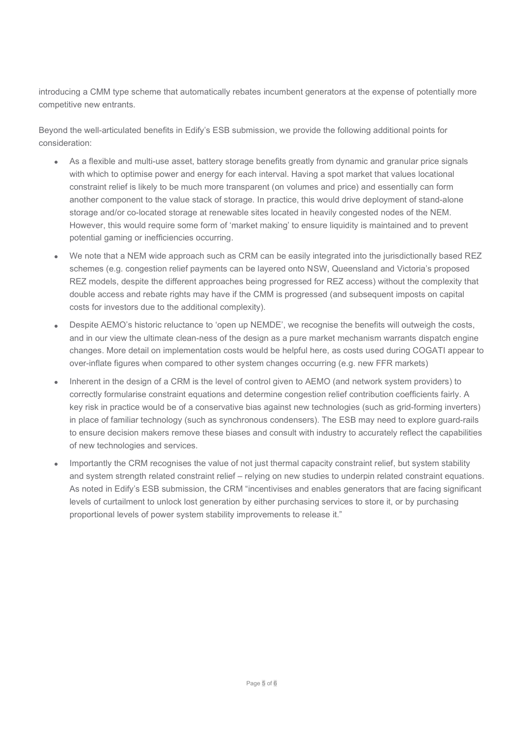introducing a CMM type scheme that automatically rebates incumbent generators at the expense of potentially more competitive new entrants.

Beyond the well-articulated benefits in Edify's ESB submission, we provide the following additional points for consideration:

- As a flexible and multi-use asset, battery storage benefits greatly from dynamic and granular price signals with which to optimise power and energy for each interval. Having a spot market that values locational constraint relief is likely to be much more transparent (on volumes and price) and essentially can form another component to the value stack of storage. In practice, this would drive deployment of stand-alone storage and/or co-located storage at renewable sites located in heavily congested nodes of the NEM. However, this would require some form of 'market making' to ensure liquidity is maintained and to prevent potential gaming or inefficiencies occurring.
- We note that a NEM wide approach such as CRM can be easily integrated into the jurisdictionally based REZ schemes (e.g. congestion relief payments can be layered onto NSW, Queensland and Victoria's proposed REZ models, despite the different approaches being progressed for REZ access) without the complexity that double access and rebate rights may have if the CMM is progressed (and subsequent imposts on capital costs for investors due to the additional complexity).
- Despite AEMO's historic reluctance to 'open up NEMDE', we recognise the benefits will outweigh the costs, and in our view the ultimate clean-ness of the design as a pure market mechanism warrants dispatch engine changes. More detail on implementation costs would be helpful here, as costs used during COGATI appear to over-inflate figures when compared to other system changes occurring (e.g. new FFR markets)
- Inherent in the design of a CRM is the level of control given to AEMO (and network system providers) to correctly formularise constraint equations and determine congestion relief contribution coefficients fairly. A key risk in practice would be of a conservative bias against new technologies (such as grid-forming inverters) in place of familiar technology (such as synchronous condensers). The ESB may need to explore guard-rails to ensure decision makers remove these biases and consult with industry to accurately reflect the capabilities of new technologies and services.
- Importantly the CRM recognises the value of not just thermal capacity constraint relief, but system stability and system strength related constraint relief – relying on new studies to underpin related constraint equations. As noted in Edify's ESB submission, the CRM "incentivises and enables generators that are facing significant levels of curtailment to unlock lost generation by either purchasing services to store it, or by purchasing proportional levels of power system stability improvements to release it."